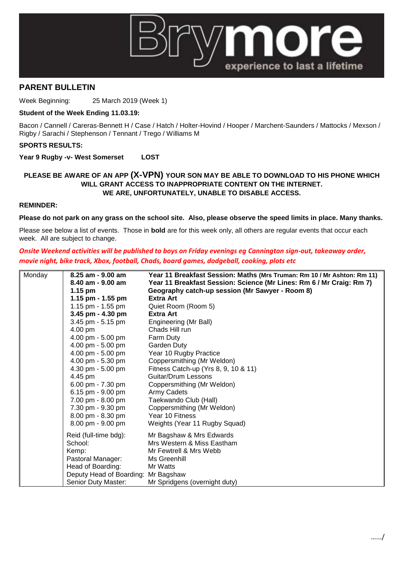

# **PARENT BULLETIN**

Week Beginning: 25 March 2019 (Week 1)

## **Student of the Week Ending 11.03.19:**

Bacon / Cannell / Careras-Bennett H / Case / Hatch / Holter-Hovind / Hooper / Marchent-Saunders / Mattocks / Mexson / Rigby / Sarachi / Stephenson / Tennant / Trego / Williams M

## **SPORTS RESULTS:**

**Year 9 Rugby -v- West Somerset LOST**

## **PLEASE BE AWARE OF AN APP (X-VPN) YOUR SON MAY BE ABLE TO DOWNLOAD TO HIS PHONE WHICH WILL GRANT ACCESS TO INAPPROPRIATE CONTENT ON THE INTERNET. WE ARE, UNFORTUNATELY, UNABLE TO DISABLE ACCESS.**

# **REMINDER:**

#### **Please do not park on any grass on the school site. Also, please observe the speed limits in place. Many thanks.**

Please see below a list of events. Those in **bold** are for this week only, all others are regular events that occur each week. All are subject to change.

# *Onsite Weekend activities will be published to boys on Friday evenings eg Cannington sign-out, takeaway order, movie night, bike track, Xbox, football, Chads, board games, dodgeball, cooking, plots etc*

| Monday | $8.25$ am - $9.00$ am               | Year 11 Breakfast Session: Maths (Mrs Truman: Rm 10 / Mr Ashton: Rm 11) |
|--------|-------------------------------------|-------------------------------------------------------------------------|
|        | $8.40$ am - $9.00$ am               | Year 11 Breakfast Session: Science (Mr Lines: Rm 6 / Mr Craig: Rm 7)    |
|        | $1.15$ pm                           | Geography catch-up session (Mr Sawyer - Room 8)                         |
|        | 1.15 pm - $1.55$ pm                 | Extra Art                                                               |
|        | 1.15 pm - $1.55$ pm                 | Quiet Room (Room 5)                                                     |
|        | 3.45 pm $-$ 4.30 pm                 | <b>Extra Art</b>                                                        |
|        | 3.45 pm - 5.15 pm                   | Engineering (Mr Ball)                                                   |
|        | 4.00 pm                             | Chads Hill run                                                          |
|        | 4.00 pm $-5.00$ pm                  | Farm Duty                                                               |
|        | 4.00 pm - 5.00 pm                   | Garden Duty                                                             |
|        | 4.00 pm - 5.00 pm                   | Year 10 Rugby Practice                                                  |
|        | 4.00 pm - 5.30 pm                   | Coppersmithing (Mr Weldon)                                              |
|        | 4.30 pm - 5.00 pm                   | Fitness Catch-up (Yrs 8, 9, 10 & 11)                                    |
|        | 4.45 pm                             | Guitar/Drum Lessons                                                     |
|        | 6.00 pm - 7.30 pm                   | Coppersmithing (Mr Weldon)                                              |
|        | 6.15 pm - 9.00 pm                   | Army Cadets                                                             |
|        | 7.00 pm - 8.00 pm                   | Taekwando Club (Hall)                                                   |
|        | 7.30 pm - 9.30 pm                   | Coppersmithing (Mr Weldon)                                              |
|        | 8.00 pm - 8.30 pm                   | Year 10 Fitness                                                         |
|        | 8.00 pm - 9.00 pm                   | Weights (Year 11 Rugby Squad)                                           |
|        | Reid (full-time bdg):               | Mr Bagshaw & Mrs Edwards                                                |
|        | School:                             | Mrs Western & Miss Eastham                                              |
|        | Kemp:                               | Mr Fewtrell & Mrs Webb                                                  |
|        | Pastoral Manager:                   | Ms Greenhill                                                            |
|        | Head of Boarding:                   | Mr Watts                                                                |
|        | Deputy Head of Boarding: Mr Bagshaw |                                                                         |
|        | Senior Duty Master:                 | Mr Spridgens (overnight duty)                                           |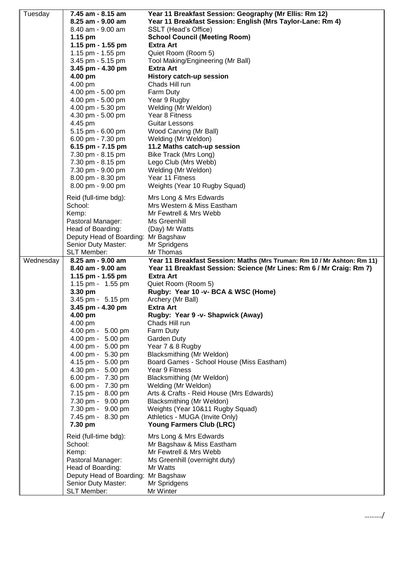| Tuesday   | 7.45 am - 8.15 am                   | Year 11 Breakfast Session: Geography (Mr Ellis: Rm 12)                  |
|-----------|-------------------------------------|-------------------------------------------------------------------------|
|           | 8.25 am - 9.00 am                   | Year 11 Breakfast Session: English (Mrs Taylor-Lane: Rm 4)              |
|           | 8.40 am - 9.00 am                   | SSLT (Head's Office)                                                    |
|           | 1.15 pm                             | <b>School Council (Meeting Room)</b>                                    |
|           | 1.15 pm - 1.55 pm                   | <b>Extra Art</b>                                                        |
|           | 1.15 pm - 1.55 pm                   | Quiet Room (Room 5)                                                     |
|           | 3.45 pm - 5.15 pm                   | Tool Making/Engineering (Mr Ball)                                       |
|           | 3.45 pm - 4.30 pm                   | <b>Extra Art</b>                                                        |
|           | 4.00 pm                             | <b>History catch-up session</b>                                         |
|           | 4.00 pm                             | Chads Hill run                                                          |
|           | 4.00 pm - 5.00 pm                   | Farm Duty                                                               |
|           | 4.00 pm - 5.00 pm                   | Year 9 Rugby                                                            |
|           | 4.00 pm - 5.30 pm                   | Welding (Mr Weldon)                                                     |
|           | 4.30 pm - 5.00 pm                   | Year 8 Fitness                                                          |
|           | 4.45 pm                             | Guitar Lessons                                                          |
|           | 5.15 pm - 6.00 pm                   | Wood Carving (Mr Ball)                                                  |
|           | 6.00 pm - 7.30 pm                   | Welding (Mr Weldon)                                                     |
|           | 6.15 pm - 7.15 pm                   | 11.2 Maths catch-up session                                             |
|           | 7.30 pm - 8.15 pm                   | Bike Track (Mrs Long)                                                   |
|           | 7.30 pm - 8.15 pm                   | Lego Club (Mrs Webb)                                                    |
|           | 7.30 pm - 9.00 pm                   | Welding (Mr Weldon)                                                     |
|           | 8.00 pm - 8.30 pm                   | Year 11 Fitness                                                         |
|           | 8.00 pm - 9.00 pm                   | Weights (Year 10 Rugby Squad)                                           |
|           | Reid (full-time bdg):               | Mrs Long & Mrs Edwards                                                  |
|           | School:                             | Mrs Western & Miss Eastham                                              |
|           | Kemp:                               | Mr Fewtrell & Mrs Webb                                                  |
|           | Pastoral Manager:                   | Ms Greenhill                                                            |
|           | Head of Boarding:                   | (Day) Mr Watts                                                          |
|           | Deputy Head of Boarding:            | Mr Bagshaw                                                              |
|           | Senior Duty Master:                 | Mr Spridgens                                                            |
|           | SLT Member:                         | Mr Thomas                                                               |
|           |                                     |                                                                         |
| Wednesday | 8.25 am - 9.00 am                   | Year 11 Breakfast Session: Maths (Mrs Truman: Rm 10 / Mr Ashton: Rm 11) |
|           | 8.40 am - 9.00 am                   | Year 11 Breakfast Session: Science (Mr Lines: Rm 6 / Mr Craig: Rm 7)    |
|           | 1.15 pm - 1.55 pm                   | Extra Art                                                               |
|           | 1.15 pm - 1.55 pm                   | Quiet Room (Room 5)                                                     |
|           | 3.30 pm                             | Rugby: Year 10 -v- BCA & WSC (Home)                                     |
|           | 3.45 pm - 5.15 pm                   | Archery (Mr Ball)<br>Extra Art                                          |
|           | 3.45 pm - 4.30 pm<br>4.00 pm        | Rugby: Year 9 -v- Shapwick (Away)                                       |
|           | 4.00 pm                             | Chads Hill run                                                          |
|           | 4.00 pm - 5.00 pm                   | Farm Duty                                                               |
|           | 4.00 pm - 5.00 pm                   | Garden Duty                                                             |
|           | 4.00 pm - 5.00 pm                   | Year 7 & 8 Rugby                                                        |
|           | 4.00 pm - 5.30 pm                   | Blacksmithing (Mr Weldon)                                               |
|           | 4.15 pm - 5.00 pm                   | Board Games - School House (Miss Eastham)                               |
|           | 4.30 pm - 5.00 pm                   | Year 9 Fitness                                                          |
|           | 6.00 pm - 7.30 pm                   | Blacksmithing (Mr Weldon)                                               |
|           | 6.00 pm - 7.30 pm                   | Welding (Mr Weldon)                                                     |
|           | 7.15 pm - 8.00 pm                   | Arts & Crafts - Reid House (Mrs Edwards)                                |
|           | 7.30 pm - 9.00 pm                   | Blacksmithing (Mr Weldon)                                               |
|           | 7.30 pm - 9.00 pm                   | Weights (Year 10&11 Rugby Squad)                                        |
|           | 7.45 pm - 8.30 pm                   | Athletics - MUGA (Invite Only)                                          |
|           | 7.30 pm                             | Young Farmers Club (LRC)                                                |
|           | Reid (full-time bdg):               | Mrs Long & Mrs Edwards                                                  |
|           | School:                             | Mr Bagshaw & Miss Eastham                                               |
|           | Kemp:                               | Mr Fewtrell & Mrs Webb                                                  |
|           | Pastoral Manager:                   | Ms Greenhill (overnight duty)                                           |
|           | Head of Boarding:                   | Mr Watts                                                                |
|           | Deputy Head of Boarding: Mr Bagshaw |                                                                         |
|           | Senior Duty Master:<br>SLT Member:  | Mr Spridgens<br>Mr Winter                                               |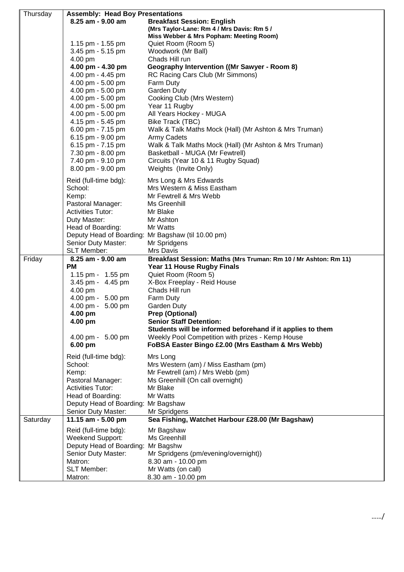| Thursday | <b>Assembly: Head Boy Presentations</b> |                                                                 |  |
|----------|-----------------------------------------|-----------------------------------------------------------------|--|
|          | 8.25 am - 9.00 am                       | <b>Breakfast Session: English</b>                               |  |
|          |                                         | (Mrs Taylor-Lane: Rm 4 / Mrs Davis: Rm 5 /                      |  |
|          |                                         | Miss Webber & Mrs Popham: Meeting Room)                         |  |
|          | 1.15 pm - 1.55 pm                       | Quiet Room (Room 5)                                             |  |
|          | 3.45 pm - 5.15 pm                       | Woodwork (Mr Ball)                                              |  |
|          | 4.00 pm                                 | Chads Hill run                                                  |  |
|          | 4.00 pm - 4.30 pm                       | Geography Intervention ((Mr Sawyer - Room 8)                    |  |
|          | 4.00 pm - 4.45 pm                       | RC Racing Cars Club (Mr Simmons)                                |  |
|          | 4.00 pm - 5.00 pm                       | Farm Duty                                                       |  |
|          | 4.00 pm - 5.00 pm                       | Garden Duty                                                     |  |
|          | 4.00 pm - 5.00 pm                       | Cooking Club (Mrs Western)                                      |  |
|          | 4.00 pm - 5.00 pm                       | Year 11 Rugby                                                   |  |
|          | 4.00 pm - 5.00 pm                       | All Years Hockey - MUGA                                         |  |
|          | 4.15 pm - 5.45 pm                       | Bike Track (TBC)                                                |  |
|          | 6.00 pm - 7.15 pm                       | Walk & Talk Maths Mock (Hall) (Mr Ashton & Mrs Truman)          |  |
|          | 6.15 pm - 9.00 pm                       | Army Cadets                                                     |  |
|          | 6.15 pm - 7.15 pm                       | Walk & Talk Maths Mock (Hall) (Mr Ashton & Mrs Truman)          |  |
|          | 7.30 pm - 8.00 pm                       | Basketball - MUGA (Mr Fewtrell)                                 |  |
|          | 7.40 pm - 9.10 pm                       | Circuits (Year 10 & 11 Rugby Squad)                             |  |
|          | 8.00 pm - 9.00 pm                       | Weights (Invite Only)                                           |  |
|          |                                         |                                                                 |  |
|          | Reid (full-time bdg):                   | Mrs Long & Mrs Edwards                                          |  |
|          | School:                                 | Mrs Western & Miss Eastham                                      |  |
|          | Kemp:                                   | Mr Fewtrell & Mrs Webb                                          |  |
|          | Pastoral Manager:                       | Ms Greenhill                                                    |  |
|          | <b>Activities Tutor:</b>                | Mr Blake                                                        |  |
|          | Duty Master:                            | Mr Ashton                                                       |  |
|          | Head of Boarding:                       | Mr Watts                                                        |  |
|          |                                         | Deputy Head of Boarding: Mr Bagshaw (til 10.00 pm)              |  |
|          | Senior Duty Master:                     | Mr Spridgens                                                    |  |
|          | <b>SLT Member:</b>                      | Mrs Davis                                                       |  |
| Friday   | 8.25 am - 9.00 am                       | Breakfast Session: Maths (Mrs Truman: Rm 10 / Mr Ashton: Rm 11) |  |
|          | <b>PM</b>                               | <b>Year 11 House Rugby Finals</b>                               |  |
|          | 1.15 pm - 1.55 pm                       | Quiet Room (Room 5)                                             |  |
|          | 3.45 pm - 4.45 pm                       | X-Box Freeplay - Reid House                                     |  |
|          | 4.00 pm                                 | Chads Hill run                                                  |  |
|          | 4.00 pm - 5.00 pm                       | Farm Duty                                                       |  |
|          | 4.00 pm - 5.00 pm                       | Garden Duty                                                     |  |
|          | 4.00 pm                                 | <b>Prep (Optional)</b>                                          |  |
|          | 4.00 pm                                 | <b>Senior Staff Detention:</b>                                  |  |
|          |                                         | Students will be informed beforehand if it applies to them      |  |
|          | 4.00 pm - 5.00 pm                       | Weekly Pool Competition with prizes - Kemp House                |  |
|          | 6.00 pm                                 | FoBSA Easter Bingo £2.00 (Mrs Eastham & Mrs Webb)               |  |
|          | Reid (full-time bdg):                   | Mrs Long                                                        |  |
|          | School:                                 | Mrs Western (am) / Miss Eastham (pm)                            |  |
|          | Kemp:                                   | Mr Fewtrell (am) / Mrs Webb (pm)                                |  |
|          | Pastoral Manager:                       | Ms Greenhill (On call overnight)                                |  |
|          | <b>Activities Tutor:</b>                | Mr Blake                                                        |  |
|          |                                         |                                                                 |  |
|          | Head of Boarding:                       | Mr Watts                                                        |  |
|          | Deputy Head of Boarding: Mr Bagshaw     |                                                                 |  |
|          | Senior Duty Master:                     | Mr Spridgens                                                    |  |
| Saturday | 11.15 am - 5.00 pm                      | Sea Fishing, Watchet Harbour £28.00 (Mr Bagshaw)                |  |
|          | Reid (full-time bdg):                   | Mr Bagshaw                                                      |  |
|          | Weekend Support:                        | Ms Greenhill                                                    |  |
|          | Deputy Head of Boarding: Mr Bagshw      |                                                                 |  |
|          | Senior Duty Master:                     | Mr Spridgens (pm/evening/overnight))                            |  |
|          | Matron:                                 | 8.30 am - 10.00 pm                                              |  |
|          | <b>SLT Member:</b>                      | Mr Watts (on call)                                              |  |
|          | Matron:                                 | 8.30 am - 10.00 pm                                              |  |